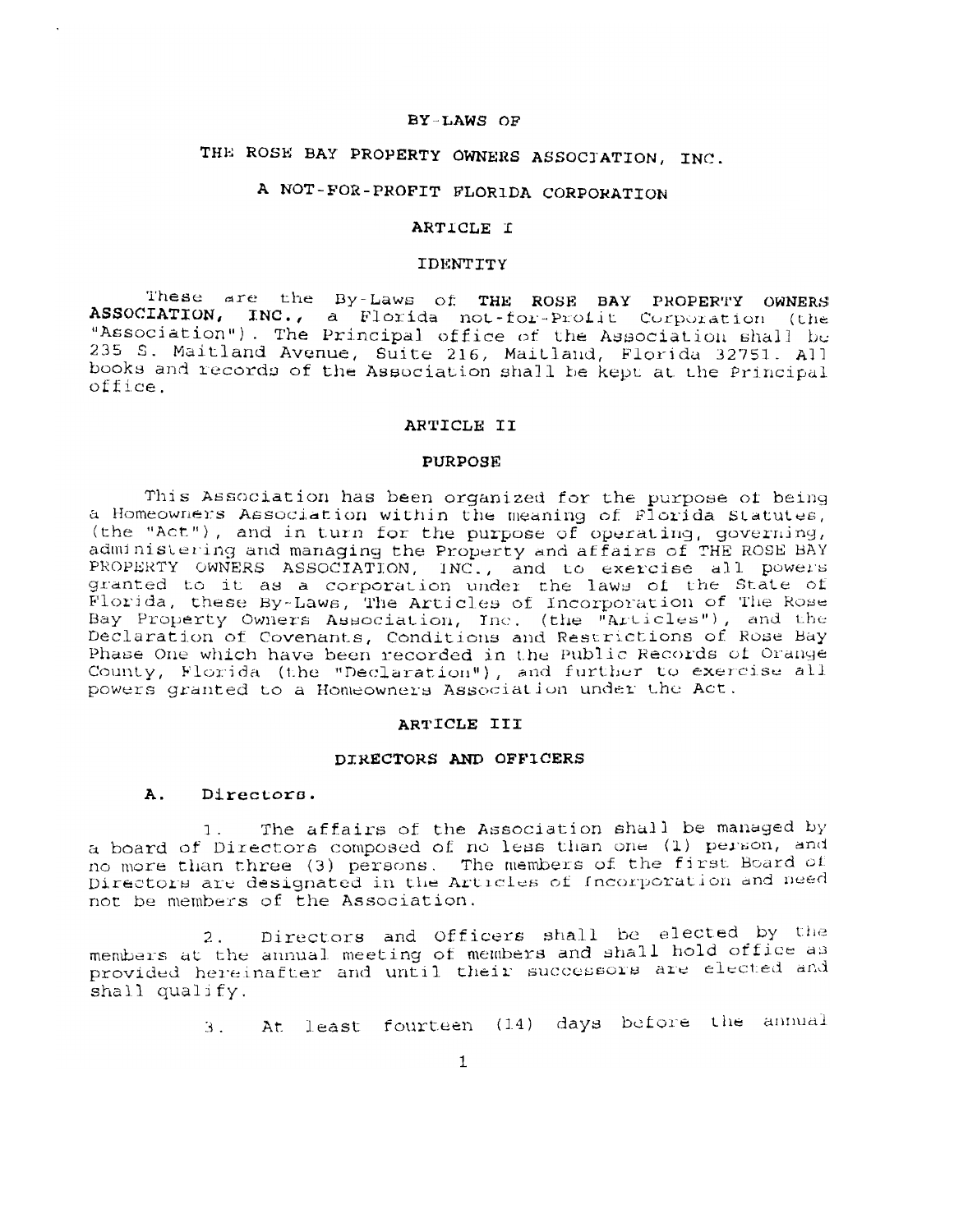#### BY-LAWS OF

# THE ROSE BAY PROPERTY OWNERS ASSOCIATION, INC.

# A NOT-FOR-PROFIT FLORIDA CORPORATION

#### ARTICLE I

#### **IDENTITY**

These are the By-Laws of THE ROSE BAY PROPERTY OWNERS ASSOCIATION, INC., a Florida not-for-Profit Corporation (the "Association"). The Principal office of the Association shall be 235 S. Maitland Avenue, Suite 216, Maitland, Florida 32751. All books and records of the Association shall be kept at the Principal  $office.$ 

#### ARTICLE II

#### PURPOSE

This Association has been organized for the purpose of being a Homeowners Association within the meaning of Florida Statutes, (the "Act"), and in turn for the purpose of operating, governing, administering and managing the Property and affairs of THE ROSE BAY PROPERTY OWNERS ASSOCIATION, INC., and to exercise all powers granted to it as a corporation under the laws of the State of Florida, these By-Laws, The Articles of Incorporation of The Rose Bay Property Owners Association, Inc. (the "Articles"), and the Declaration of Covenants, Conditions and Restrictions of Rose Bay Phase One which have been recorded in the Public Records of Orange County, Florida (the "Declaration"), and further to exercise all powers granted to a Homeowners Association under the Act.

#### ARTICLE III

#### DIRECTORS AND OFFICERS

#### A. Directors.

The affairs of the Association shall be managed by 1. a board of Directors composed of no less than one (1) person, and no more than three (3) persons. The members of the first Board of Directors are designated in the Articles of Incorporation and need not be members of the Association.

Directors and Officers shall be elected by the  $2.$ members at the annual meeting of members and shall hold office as provided hereinafter and until their successors are elected and shall qualify.

3. At least fourteen (14) days before the annual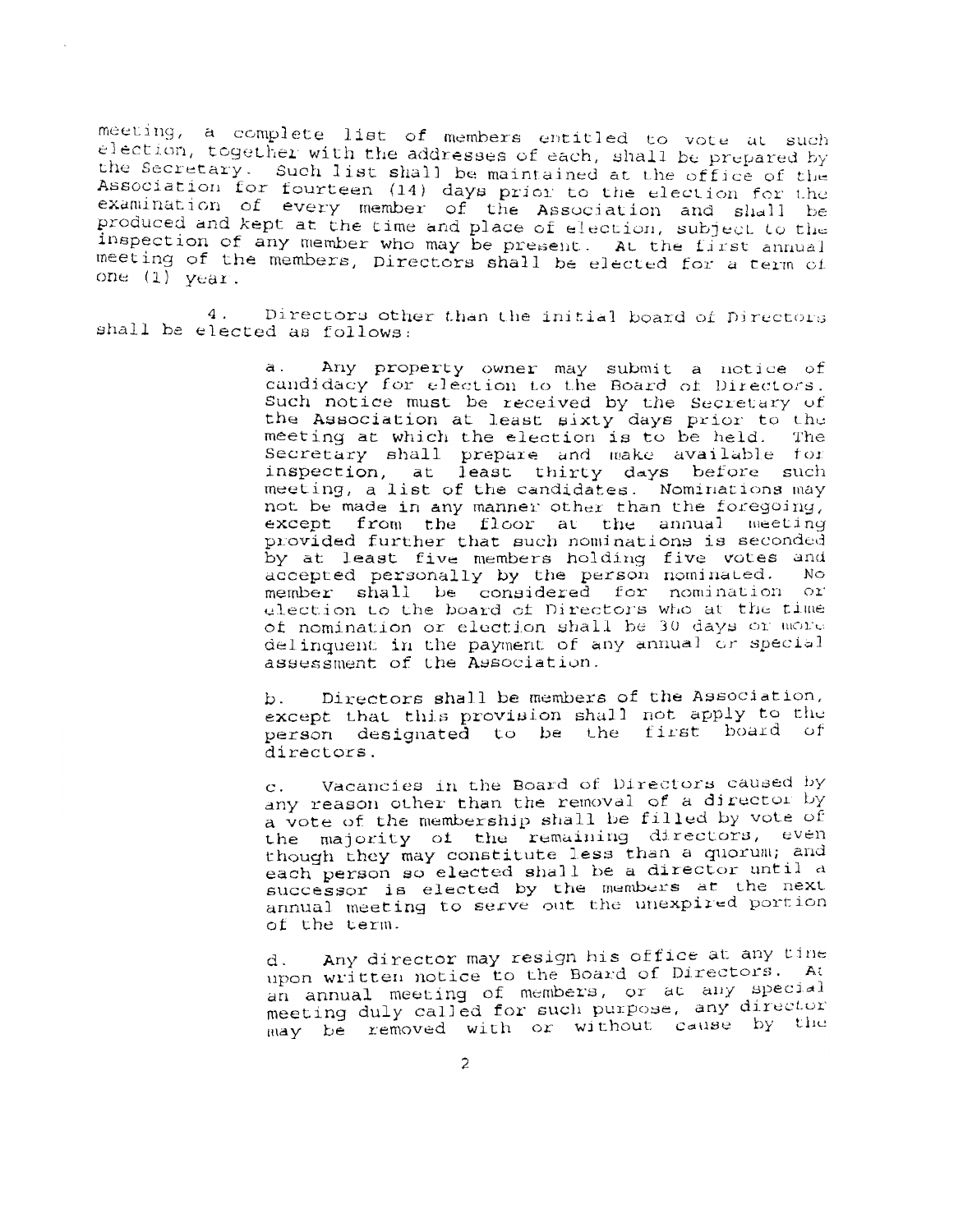meeting, a complete list of members entitled to vote at such election, together with the addresses of each, shall be prepared by the Secretary. Such list shall be maintained at the office of the Association for fourteen (14) days prior to the election for the examination of every member of the Association and shall be<br>produced and kept at the time and place of election, subject to the inspection of any member who may be present. At the first annual meeting of the members, Directors shall be elected for a term of one  $(1)$  year.

 $4.$ Directors other than the initial board of Directors shall be elected as follows:

> a. Any property owner may submit a notice of candidacy for election to the Board of Directors. Such notice must be received by the Secretary of the Association at least sixty days prior to the meeting at which the election is to be held. The Secretary shall prepare and make available for inspection, at least thirty days before such meeting, a list of the candidates. Nominations may not be made in any manner other than the foregoing, except from the floor at the annual meeting provided further that such nominations is seconded by at least five members holding five votes and accepted personally by the person nominated. No. member shall be considered for nomination or election to the board of Directors who at the time of nomination or election shall be 30 days or more delinquent in the payment of any annual or special assessment of the Association.

> Directors shall be members of the Association, b. except that this provision shall not apply to the person designated to be the first board of directors.

> Vacancies in the Board of Directors caused by  $\mathbf{C}$ . any reason other than the removal of a director by a vote of the membership shall be filled by vote of the majority of the remaining directors, even though they may constitute less than a quorum; and each person so elected shall be a director until a successor is elected by the members at the next annual meeting to serve out the unexpired portion of the term.

> Any director may resign his office at any tine d. upon written notice to the Board of Directors. At an annual meeting of members, or at any special meeting duly called for such purpose, any director may be removed with or without cause by the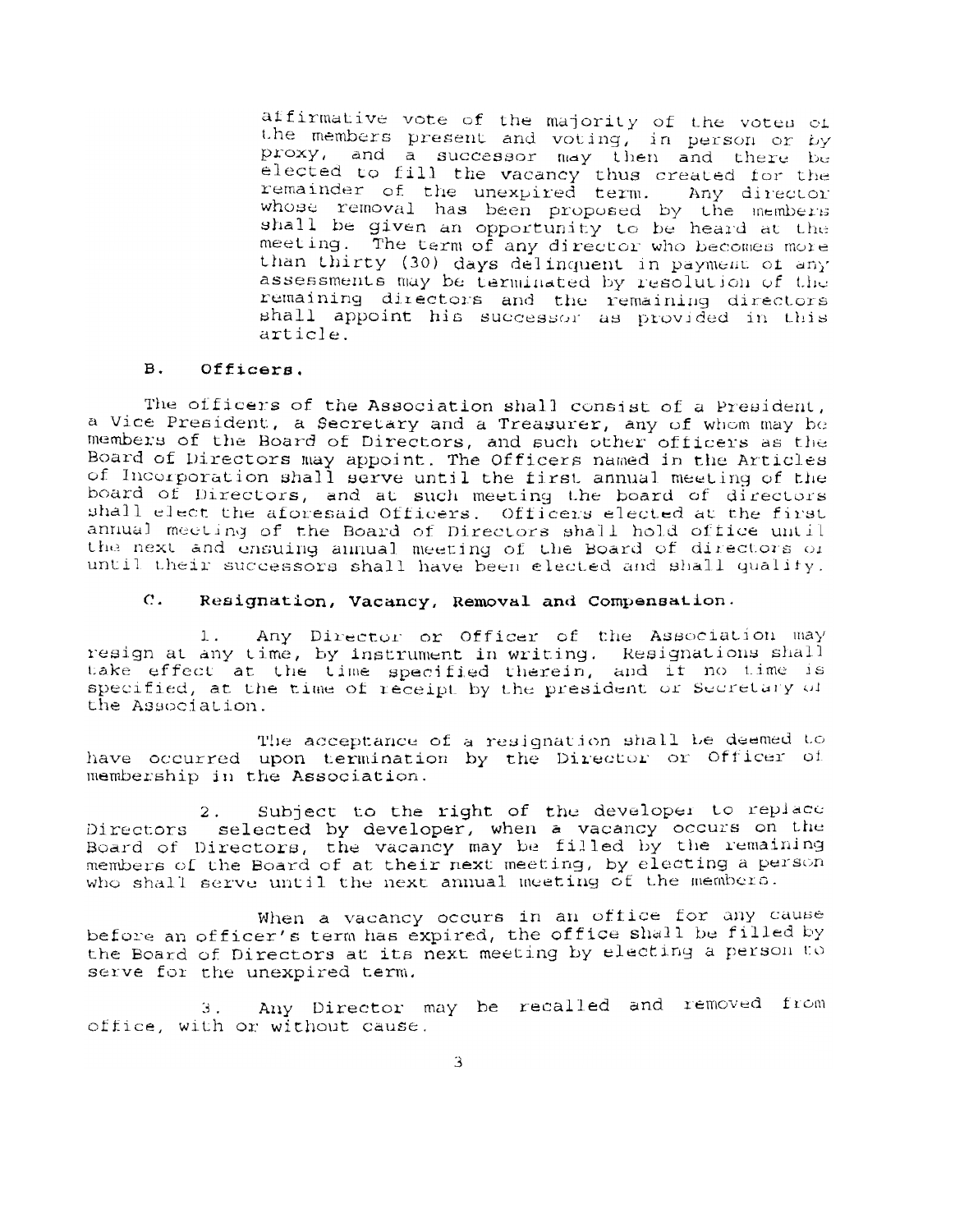affirmative vote of the majority of the votes of the members present and voting, in person or by proxy, and a successor may then and there be<br>elected to fill the vacancy thus created for the<br>remainder of the unexpired term. Any director whose removal has been proposed by the members shall be given an opportunity to be heard at the meeting. The term of any director who becomes more than thirty (30) days delinquent in payment of any assessments may be terminated by resolution of the remaining directors and the remaining directors shall appoint his successor as provided in this article

#### $B.$ Officers.

The officers of the Association shall consist of a President, a Vice President, a Secretary and a Treasurer, any of whom may be members of the Board of Directors, and such other officers as the Board of Directors may appoint. The Officers named in the Articles<br>of Incorporation shall serve until the first annual meeting of the board of Directors, and at such meeting the board of directors shall elect the aforesaid Officers. Officers elected at the first annual meeting of the Board of Directors shall hold office until the next and ensuing annual meeting of the Board of directors of until their successors shall have been elected and shall qualify.

#### $\mathbf{c}$ . Resignation, Vacancy, Removal and Compensation.

Any Director or Officer of the Association may  $1.$ resign at any time, by instrument in writing. Resignations shall take effect at the time specified therein, and if no time is specified, at the time of receipt by the president or Secretary of the Association.

The acceptance of a resignation shall be deemed to have occurred upon termination by the Director or Officer of membership in the Association.

Subject to the right of the developer to replace  $2$  . Directors selected by developer, when a vacancy occurs on the Board of Directors, the vacancy may be filled by the remaining<br>members of the Board of at their next meeting, by electing a person who shall serve until the next annual meeting of the members.

When a vacancy occurs in an office for any cause before an officer's term has expired, the office shall be filled by the Board of Directors at its next meeting by electing a person to serve for the unexpired term.

Any Director may be recalled and removed from 3. office, with or without cause.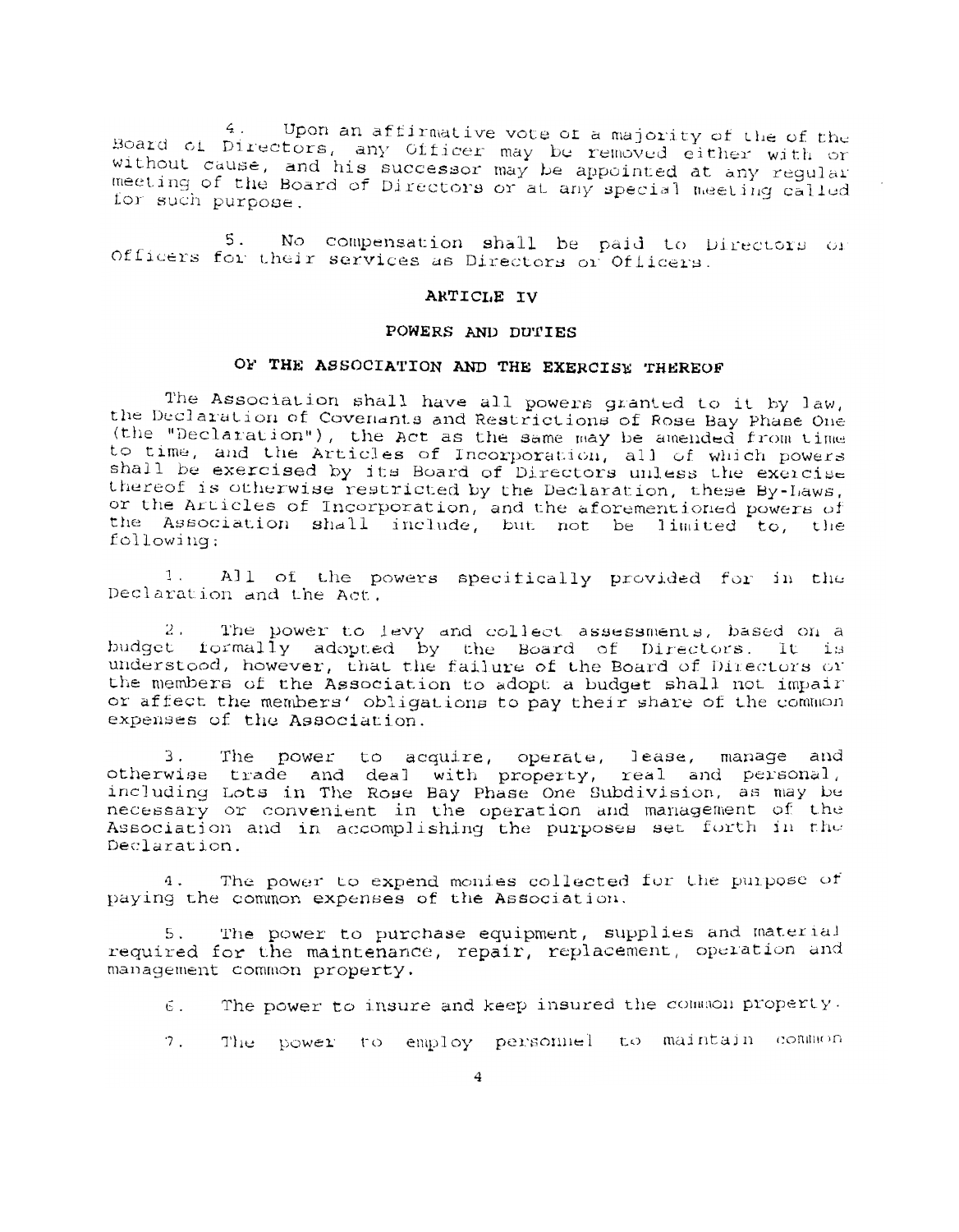Upon an affirmative vote of a majority of the of the  $\overline{4}$ . Board of Directors, any Officer may be removed either with or without cause, and his successor may be appointed at any regular meeting of the Board of Directors or at any special meeting called for such purpose.

 $5.$ No compensation shall be paid to Directors or Officers for their services as Directors or Officers.

#### ARTICLE IV

#### POWERS AND DUTIES

# OF THE ASSOCIATION AND THE EXERCISE THEREOF

The Association shall have all powers granted to it by law, the Declaration of Covenants and Restrictions of Rose Bay Phase One (the "Declaration"), the Act as the same may be amended from time to time, and the Articles of Incorporation, all of which powers shall be exercised by its Board of Directors unless the exercise thereof is otherwise restricted by the Declaration, these By-Laws, or the Articles of Incorporation, and the aforementioned powers of<br>the Association shall include, but not be limited to, the following:

 $1$ . All of the powers specifically provided for in the Declaration and the Act.

 $2.$ The power to levy and collect assessments, based on a budget formally adopted by the Board of Directors. It is understood, however, that the failure of the Board of Directors or the members of the Association to adopt a budget shall not impair or affect the members' obligations to pay their share of the common expenses of the Association.

3. The power to acquire, operate, lease, manage and otherwise trade and deal with property, real and personal, including Lots in The Rose Bay Phase One Subdivision, as may be necessary or convenient in the operation and management of the Association and in accomplishing the purposes set forth in the Declaration.

The power to expend monies collected for the purpose of  $4.$ paying the common expenses of the Association.

The power to purchase equipment, supplies and material 5. required for the maintenance, repair, replacement, operation and management common property.

- The power to insure and keep insured the common property. б.
- $7.$ The power to employ personnel to maintain common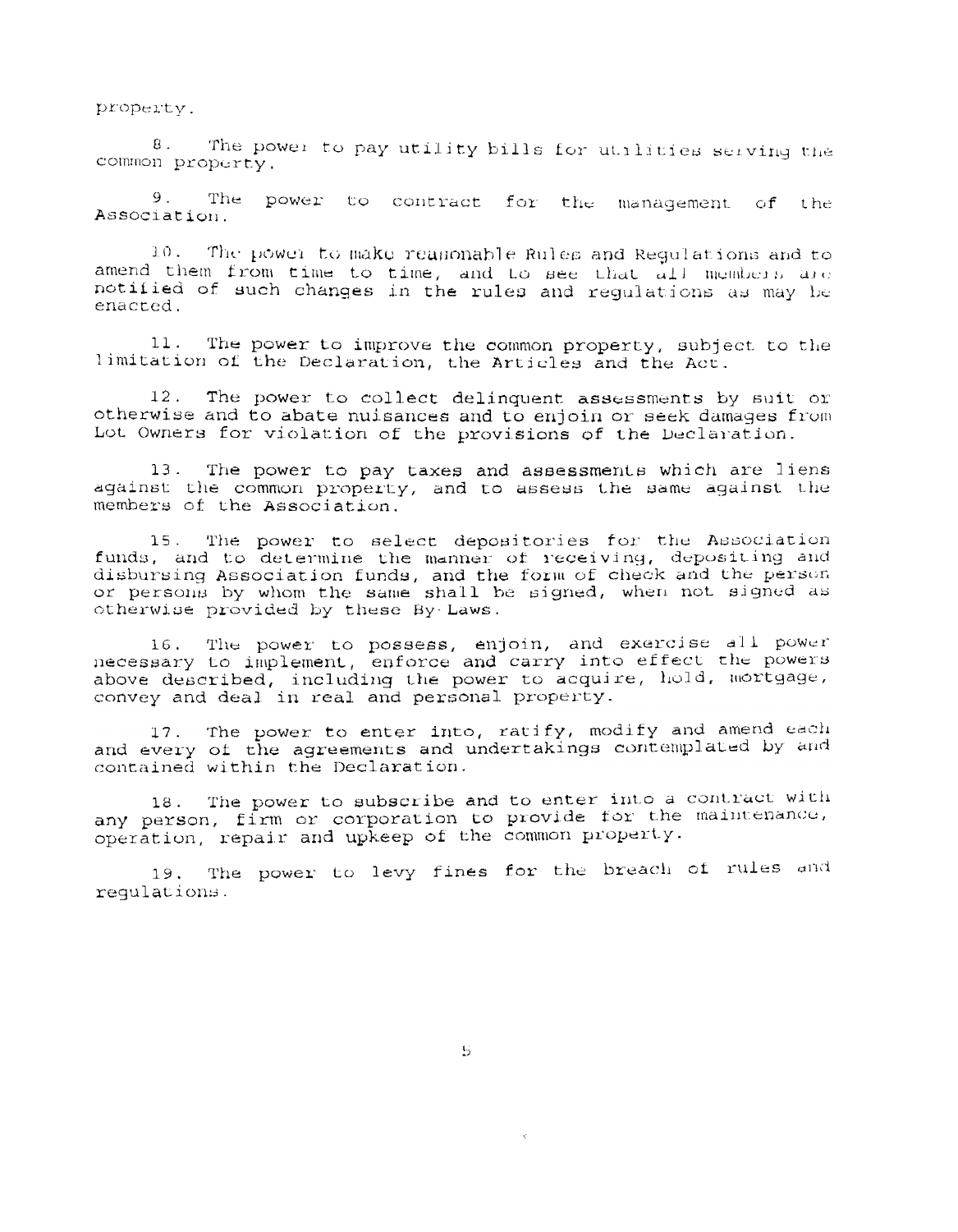property.

The power to pay utility bills for utilities serving the  $8.$ common property.

 $9.1$ The power to contract for the management of the Association.

 $10.$ The power to make reaponable Rules and Regulations and to amend them from time to time, and Lo see that all members are notified of such changes in the rules and regulations as may be enacted.

 $11.$ The power to improve the common property, subject to the limitation of the Declaration, the Articles and the Act.

 $12.$ The power to collect delinquent assessments by suit or otherwise and to abate nuisances and to enjoin or seek damages from Lot Owners for violation of the provisions of the Declaration.

The power to pay taxes and assessments which are liens  $13.$ against the common property, and to assess the same against the members of the Association.

15. The power to select depositories for the Association funds, and to determine the manner of receiving, depositing and disbursing Association funds, and the form of check and the person<br>or persons by whom the same shall be signed, when not signed as otherwise provided by these By Laws.

16. The power to possess, enjoin, and exercise all power necessary to implement, enforce and carry into effect the powers above described, including the power to acquire, hold, mortgage, convey and deal in real and personal property.

17. The power to enter into, ratify, modify and amend each and every of the agreements and undertakings contemplated by and contained within the Declaration.

The power to subscribe and to enter into a contract with  $18.$ any person, firm or corporation to provide for the maintenance, operation, repair and upkeep of the common property.

The power to levy fines for the breach of rules and  $19.$ requlations.

 $\mathbf{5}$ 

 $\mathbf{v}$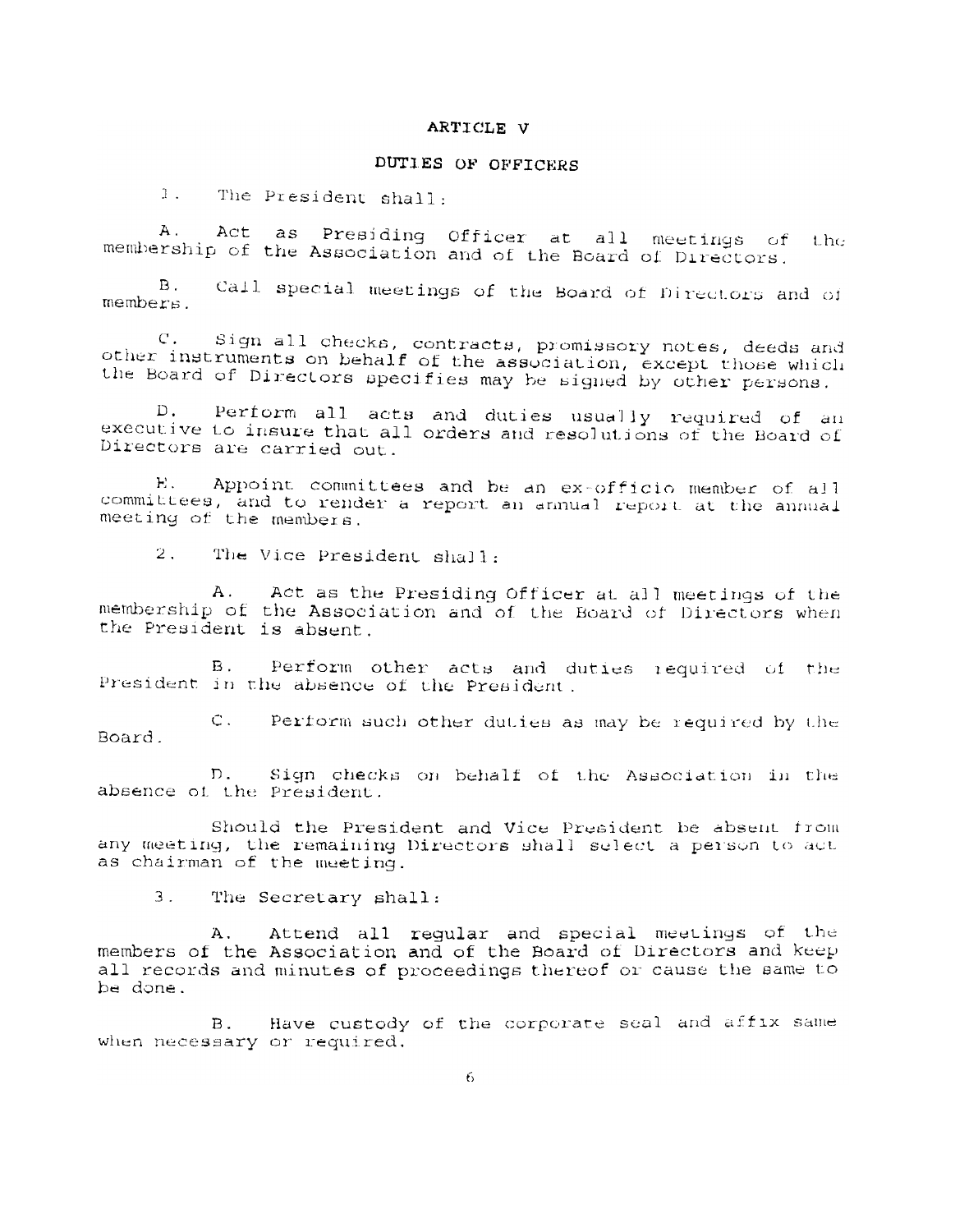#### ARTICLE V

# DUTIES OF OFFICERS

 $1.$ The President shall:

Act as Presiding Officer at all meetings of  $A$ .  $1$  h $\epsilon$ membership of the Association and of the Board of Directors.

Call special meetings of the Board of Directors and of  $B_{\perp}$ members.

Sign all checks, contracts, promissory notes, deeds and  $C$ . other instruments on behalf of the association, except those which the Board of Directors specifies may be signed by other persons.

Perform all acts and duties usually required of an  $D_{\star}$ executive to insure that all orders and resolutions of the Board of Directors are carried out.

Appoint committees and be an ex-officio member of all Н. committees, and to render a report an annual report at the annual

 $2<sup>2</sup>$ The Vice President shall.

A. Act as the Presiding Officer at all meetings of the membership of the Association and of the Board of Directors when the President is absent.

 $B<sub>1</sub>$ Perform other acts and duties required of the President in the absence of the President.

Perform such other duties as may be required by the  $C_{\infty}$ Board.

 $D<sub>1</sub>$ Sign checks on behalf of the Association in the absence of the President.

Should the President and Vice President be absent from any meeting, the remaining Directors shall select a person to act as chairman of the meeting.

 $3.$ The Secretary shall:

Attend all regular and special meetings of the Ά. members of the Association and of the Board of Directors and keep all records and minutes of proceedings thereof or cause the same to be done.

Have custody of the corporate seal and affix same  $B.$ when necessary or required.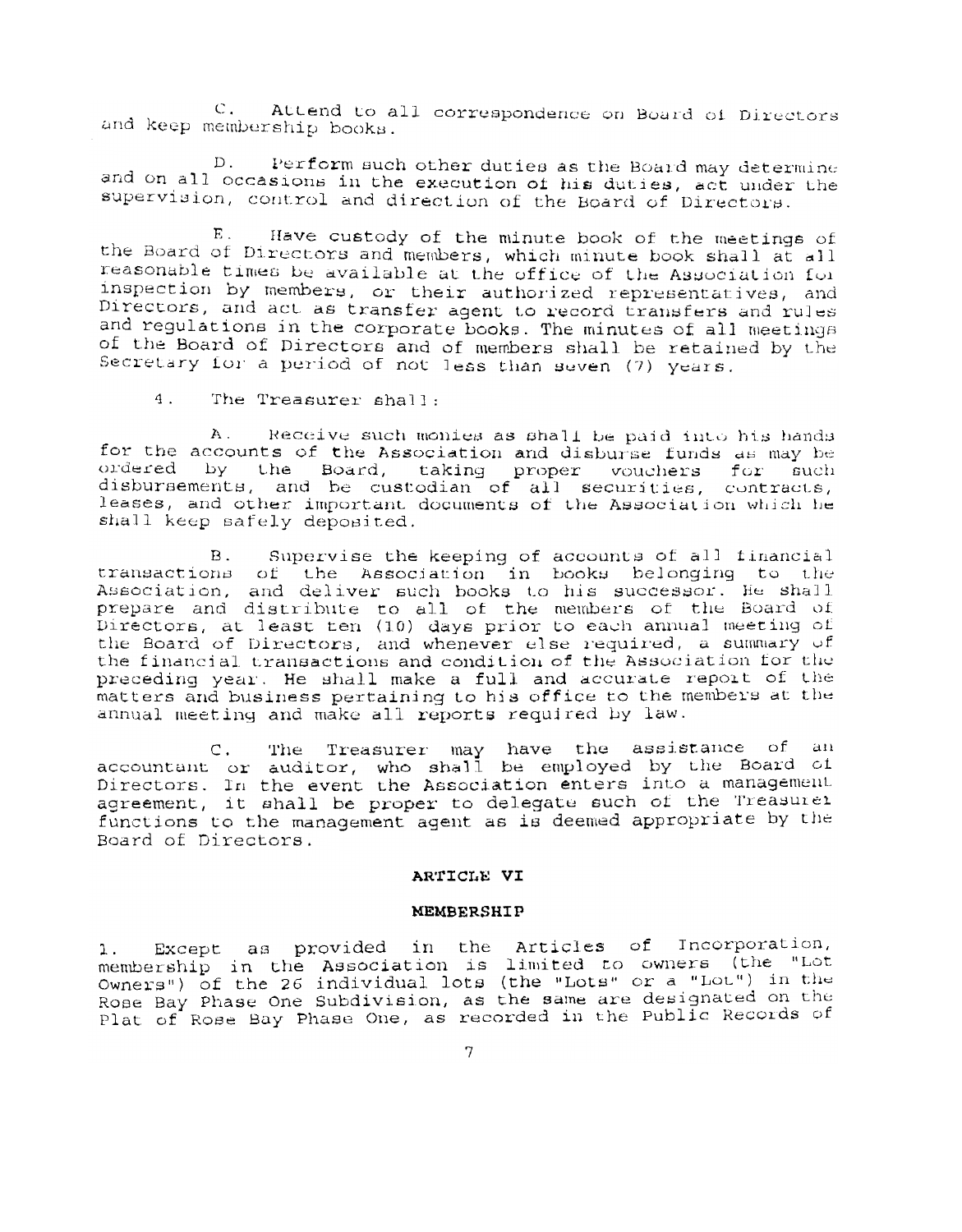C. Attend to all correspondence on Board of Directors and keep membership books.

Perform such other duties as the Board may determine  $D$ . and on all occasions in the execution of his duties, act under the supervision, control and direction of the Board of Directors.

Have custody of the minute book of the meetings of E. the Board of Directors and members, which minute book shall at all reasonable times be available at the office of the Association for inspection by members, or their authorized representatives, and Directors, and act as transfer agent to record transfers and rules and regulations in the corporate books. The minutes of all meetings of the Board of Directors and of members shall be retained by the Secretary for a period of not less than seven (7) years.

 $4<sup>1</sup>$ The Treasurer shall:

 $A$ . Receive such monies as shall be paid into his hands for the accounts of the Association and disburse funds as may be ordered by the Board, taking proper vouchers for such disbursements, and be custodian of all securities, contracts, leases, and other important documents of the Association which he shall keep safely deposited.

Supervise the keeping of accounts of all financial  $B<sub>1</sub>$ transactions of the Association in books belonging to the Association, and deliver such books to his successor. He shall<br>prepare and distribute to all of the members of the Board of<br>Directors, at least ten (10) days prior to each annual meeting of the Board of Directors, and whenever else required, a summary of the financial transactions and condition of the Association for the preceding year. He shall make a full and accurate report of the matters and business pertaining to his office to the members at the annual meeting and make all reports required by law.

C. The Treasurer may have the assistance of an<br>accountant or auditor, who shall be employed by the Board of<br>Directors. In the event the Association enters into a management agreement, it shall be proper to delegate such of the Treasurei functions to the management agent as is deemed appropriate by the Board of Directors.

#### ARTICLE VI

### **MEMBERSHIP**

Except as provided in the Articles of Incorporation, 1. membership in the Association is limited to owners (the "Lot Owners") of the 26 individual lots (the "Lots" or a "Lot") in the Rose Bay Phase One Subdivision, as the same are designated on the Plat of Rose Bay Phase One, as recorded in the Public Records of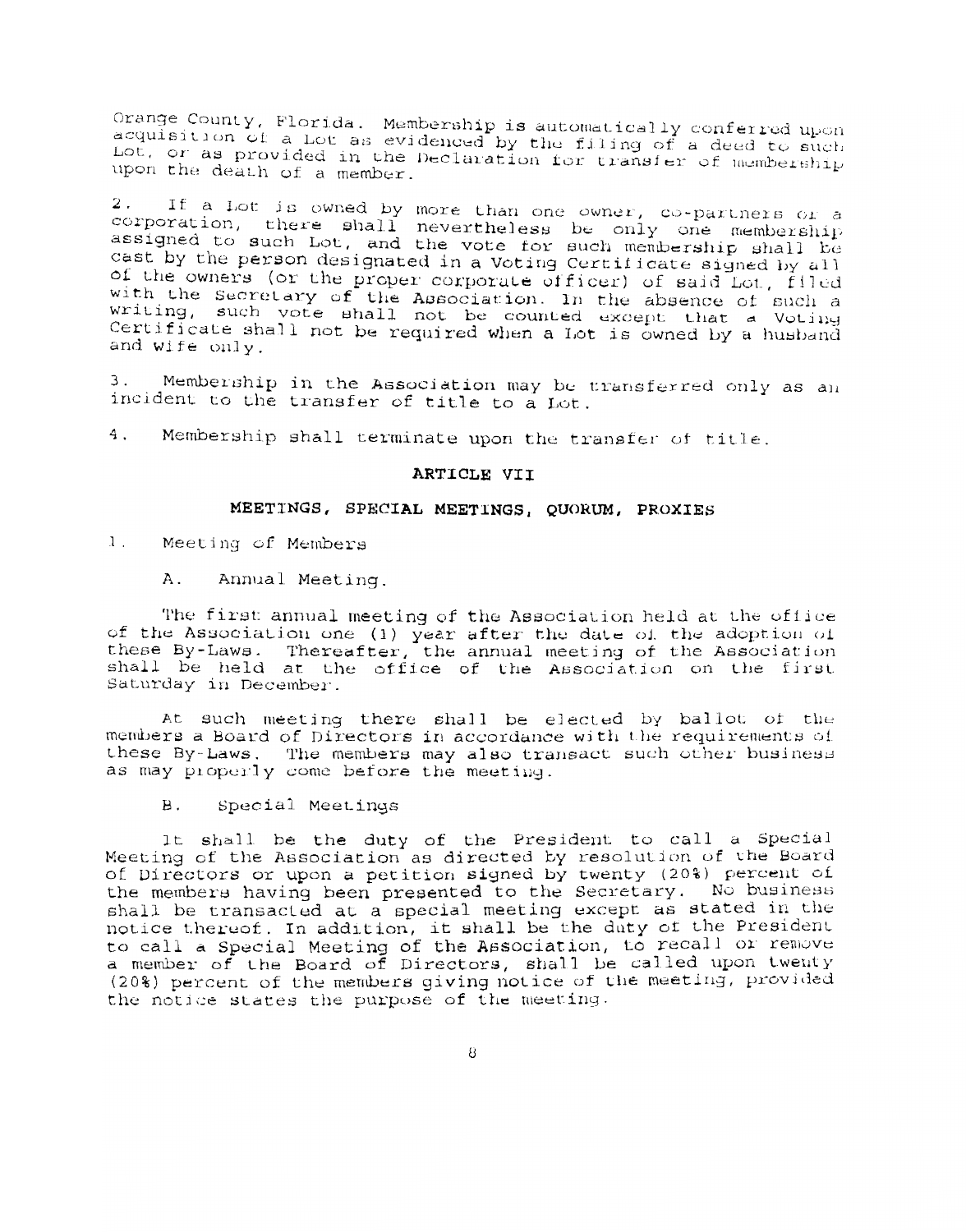Orange County, Florida. Membership is automatically conferred upon<br>acquisition of a Lot as evidenced by the filing of a deed to such Lot, or as provided in the Declaration for transfer of membership upon the death of a member.

If a Lot is owned by more than one owner, co-partners or a  $2$ . corporation, there shall nevertheless be only one membership assigned to such Lot, and the vote for such membership shall be<br>cast by the person designated in a Voting Certificate signed by all of the owners (or the proper corporate officer) of said Lot, filed with the Secretary of the Association. In the absence of such a writing, such vote shall not be counted except that a Voting Certificate shall not be required when a Lot is owned by a husband and wife only.

З. Membership in the Association may be transferred only as an incident to the transfer of title to a Lot.

 $4.$ Membership shall terminate upon the transfer of title.

### ARTICLE VII

#### MEETINGS, SPECIAL MEETINGS, QUORUM, PROXIES

 $1$ . Meeting of Members

> Annual Meeting. Α.

The first annual meeting of the Association held at the office of the Association one (1) year after the date of the adoption of these By-Laws. Thereafter, the annual meeting of the Association<br>shall be held at the office of the Association on the first Saturday in December.

At such meeting there shall be elected by ballot of the members a Board of Directors in accordance with the requirements of these By-Laws. The members may also transact such other business as may properly come before the meeting.

В. Special Meetings

It shall be the duty of the President to call a Special Meeting of the Association as directed by resolution of the Board of Directors or upon a petition signed by twenty (20%) percent of the members having been presented to the Secretary. No business shall be transacted at a special meeting except as stated in the notice thereof. In addition, it shall be the duty of the President<br>to call a Special Meeting of the Association, to recall or remove a member of the Board of Directors, shall be called upon twenty (20%) percent of the members giving notice of the meeting, provided the notice states the purpose of the meeting.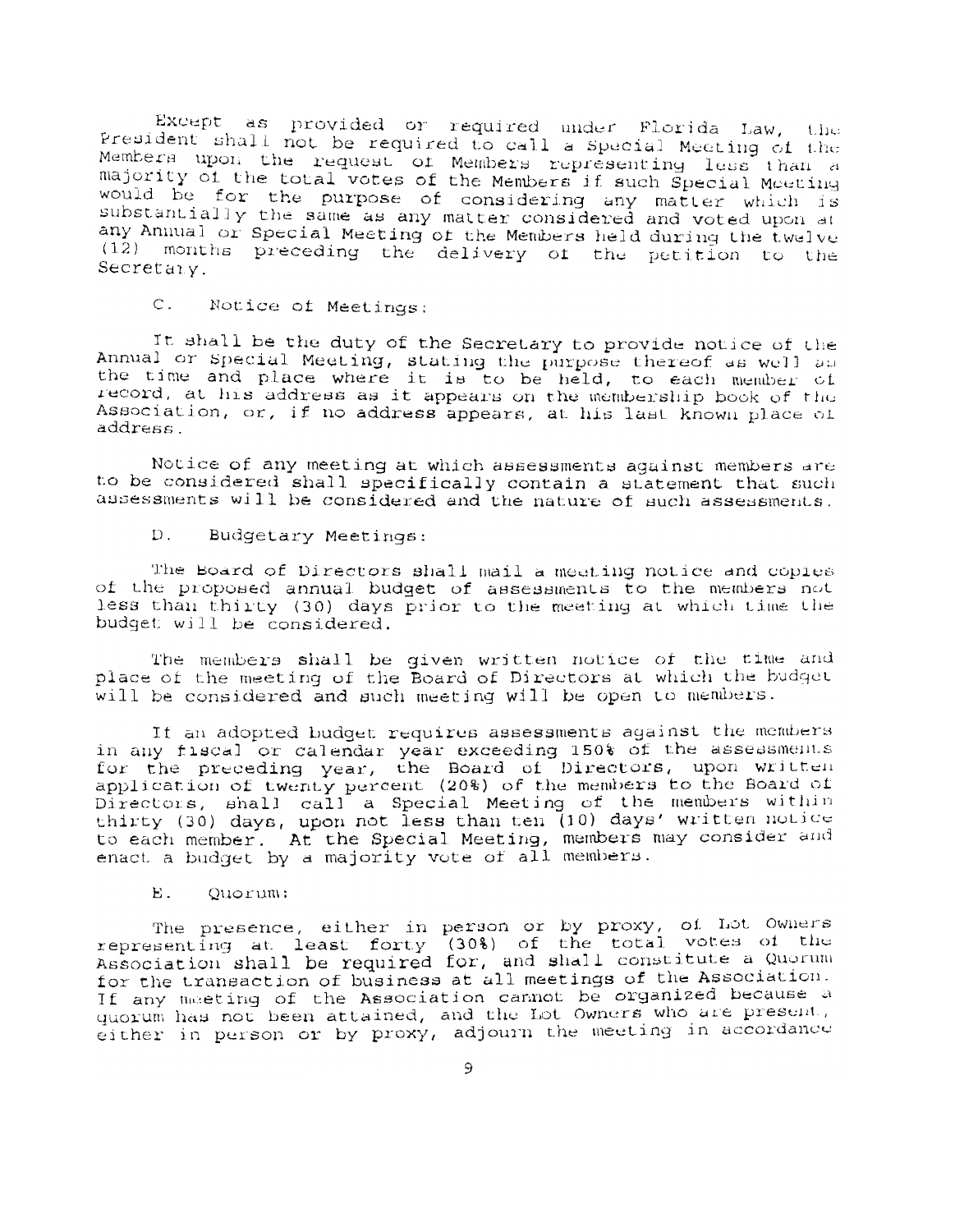Except as provided or required under Florida Law, the President shall not be required to call a Special Meeting of the Members upon the request of Members representing less than a majority of the total votes of the Members if such Special Moeting would be for the purpose of considering any matter which is substantially the same as any matter considered and voted upon at any Annual or Special Meeting of the Members held during the twelve (12) months preceding the delivery of the petition to the Secretaiv.

 $\mathsf{C}$ . Notice of Meetings:

It shall be the duty of the Secretary to provide notice of the Annual or Special Meeting, stating the purpose thereof as well as the time and place where it is to be held, to each member of record, at his address as it appears on the membership book of the Association, or, if no address appears, at his last known place of address.

Notice of any meeting at which assessments against members are to be considered shall specifically contain a statement that such assessments will be considered and the nature of such assessments.

 $D$ . Budgetary Meetings:

The Board of Directors shall mail a meeting notice and copies of the proposed annual budget of assessments to the members not less than thirty (30) days prior to the meeting at which time the budget will be considered.

The members shall be given written notice of the time and place of the meeting of the Board of Directors at which the budget will be considered and such meeting will be open to members.

If an adopted budget requires assessments against the members in any fiscal or calendar year exceeding 150% of the assessments for the preceding year, the Board of Directors, upon written application of twenty percent (20%) of the members to the Board of Directors, shall call a Special Meeting of the members within thirty (30) days, upon not less than ten (10) days' written notice to each member. At the Special Meeting, members may consider and enact a budget by a majority vote of all members.

Е. Quorum:

The presence, either in person or by proxy, of Lot Owners<br>representing at least forty (30%) of the total votes of the<br>Association shall be required for, and shall constitute a Quorum for the transaction of business at all meetings of the Association. If any meeting of the Association cannot be organized because a quorum has not been attained, and the Lot Owners who are present. either in person or by proxy, adjourn the meeting in accordance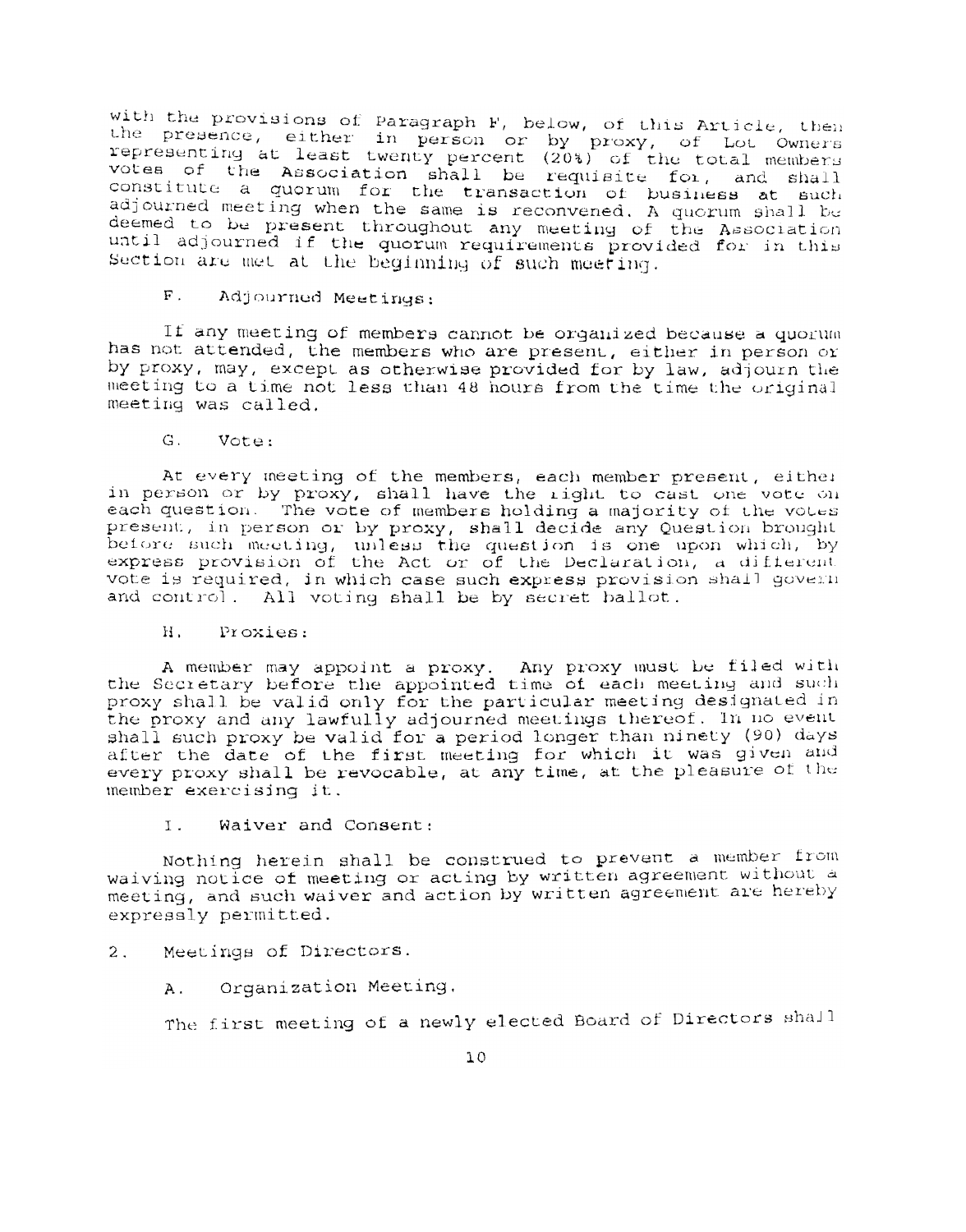with the provisions of Paragraph F, below, of this Article, then the presence, either in person or by proxy, of Lot Owners<br>representing at least twenty percent (20%) of the total members<br>votes of the Association shall be requisite for, and shall constitute a quorum for the transaction of business at such adjourned meeting when the same is reconvened. A quorum shall be deemed to be present throughout any meeting of the Association until adjourned if the quorum requirements provided for in this Section are met at the beginning of such meeting.

 $\mathbf{F}$ . Adjourned Meetings:

If any meeting of members cannot be organized because a quorum has not attended, the members who are present, either in person or by proxy, may, except as otherwise provided for by law, adjourn the meeting to a time not less than 48 hours from the time the original meeting was called.

G. Vote:

At every meeting of the members, each member present, either in person or by proxy, shall have the right to cast one vote on each question. The vote of members holding a majority of the votes present, in person or by proxy, shall decide any Question brought before such meeting, unless the question is one upon which, by express provision of the Act or of the Declaration, a different vote is required, in which case such express provision shall govern and control. All voting shall be by secret ballot.

 $H_{\perp}$ Proxies:

A member may appoint a proxy. Any proxy must be filed with the Secretary before the appointed time of each meeting and such proxy shall be valid only for the particular meeting designated in the proxy and any lawfully adjourned meetings thereof. In no event shall such proxy be valid for a period longer than ninety (90) days after the date of the first meeting for which it was given and every proxy shall be revocable, at any time, at the pleasure of the member exercising it.

Ι. Waiver and Consent:

Nothing herein shall be construed to prevent a member from waiving notice of meeting or acting by written agreement without a meeting, and such waiver and action by written agreement are hereby expressly permitted.

Meetings of Directors.  $2.$ 

> Organization Meeting. Α.

The first meeting of a newly elected Board of Directors shall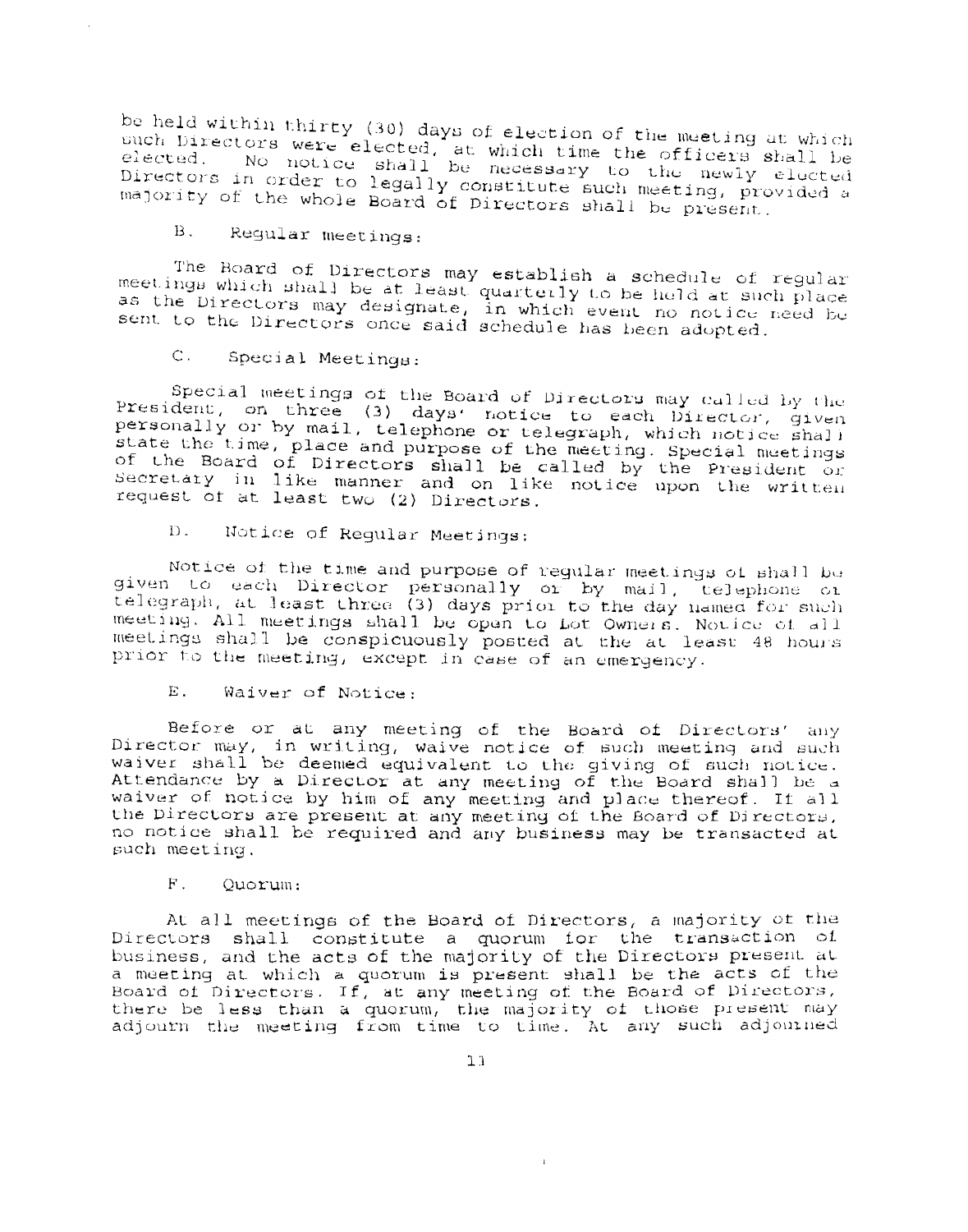be held within thirty (30) days of election of the meeting at which such Directors were elected, at which time the officers shall be elected. No notice shall be necessary to the newly elected Directors in order to legally constitute such meeting, provided a majority of the whole Board of Directors shall be present.

 $B.$ Regular meetings:

The Board of Directors may establish a schedule of regular meetings which shall be at least quarterly to be held at such place as the Directors may designate, in which event no notice need be sent to the Directors once said schedule has been adopted.

 $C_{++}$ Special Meetings:

Special meetings of the Board of Directors may called by the President, on three (3) days' notice to each Director, given<br>personally or by mail, telephone or telegraph, which notice shall state the time, place and purpose of the meeting. Special meetings of the Board of Directors shall be called by the President or Secretary in like manner and on like notice upon the written request of at least two (2) Directors.

Notice of Regular Meetings:  $D$ .

Notice of the time and purpose of regular meetings of shall be given to each Director personally or by mail, telephone or telegraph, at least three (3) days prior to the day named for such meeting. All meetings shall be open to Lot Owners. Notice of all meetings shall be conspicuously posted at the at least 48 hours prior to the meeting, except in case of an emergency.

E. Waiver of Notice:

Before or at any meeting of the Board of Directors' any Director may, in writing, waive notice of such meeting and such waiver shall be deemed equivalent to the giving of such notice. Attendance by a Director at any meeting of the Board shall be a waiver of notice by him of any meeting and place thereof. If all the Directors are present at any meeting of the Board of Directors. no notice shall be required and any business may be transacted at such meeting.

 $F_{-}$ Ouorum:

At all meetings of the Board of Directors, a majority of the Directors shall constitute a quorum for the transaction of business, and the acts of the majority of the Directors present at a meeting at which a quorum is present shall be the acts of the Board of Directors. If, at any meeting of the Board of Directors, there be less than a quorum, the majority of those present may adjourn the meeting from time to time. At any such adjourned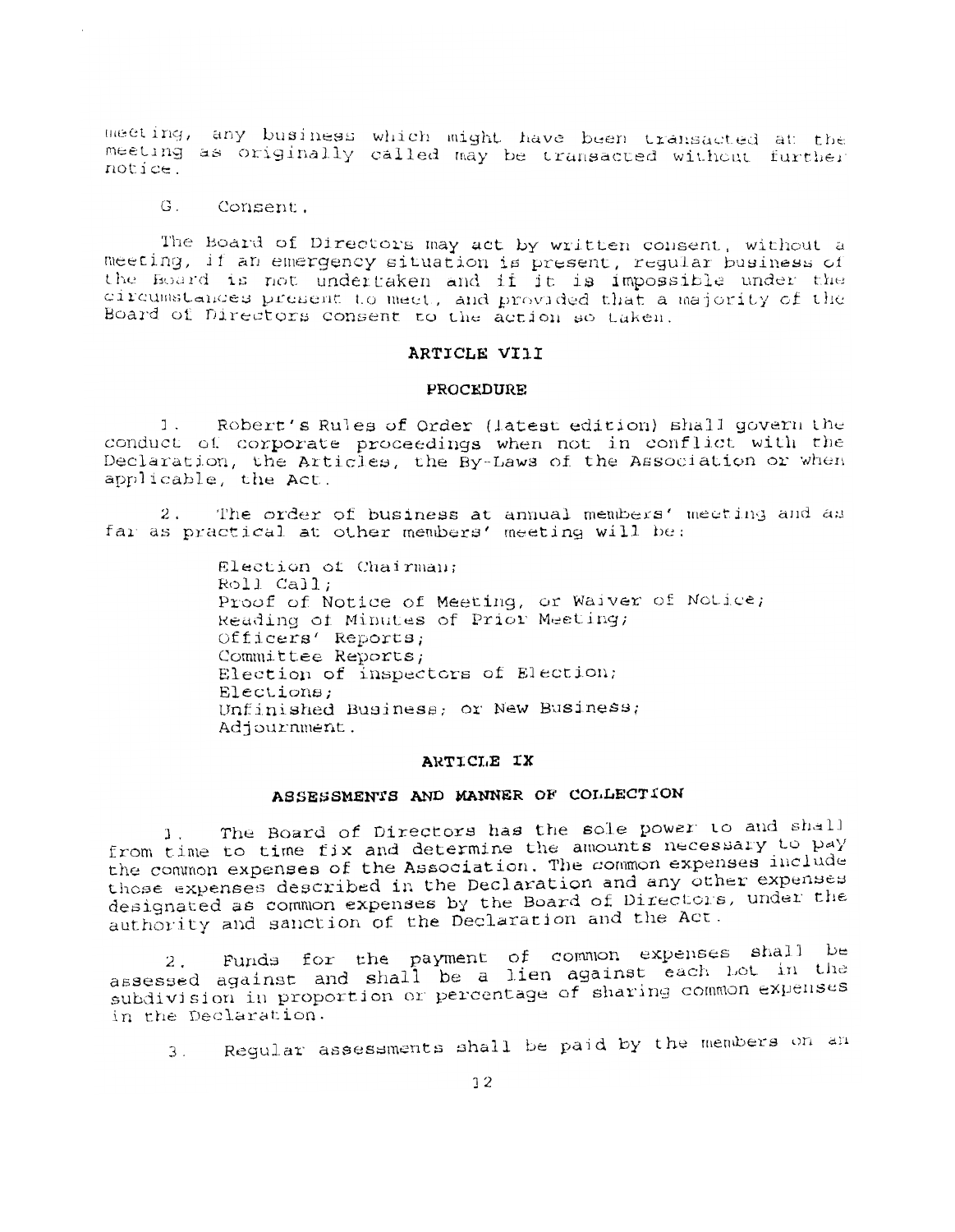meeting, any business which might have been transacted at the meeting as originally called may be transacted without further notice.

 $G_{\perp}$ Consent.

The Board of Directors may act by written consent, without a meeting, if an emergency situation is present, regular business of the Board is not undertaken and if it is impossible under the circumstances present to meet, and provided that a majority of the Board of Directors consent to the action so taken.

#### ARTICLE VIII

#### **PROCEDURE**

Robert's Rules of Order (latest edition) shall govern the 1. conduct of corporate proceedings when not in conflict with the Declaration, the Articles, the By-Laws of the Association or when applicable, the Act.

 $2.$ The order of business at annual members' meeting and as far as practical at other members' meeting will be:

> Election of Chairman; Roll Call: Proof of Notice of Meeting, or Waiver of Notice; Reading of Minutes of Prior Meeting; Officers' Reports; Committee Reports; Election of inspectors of Election; Elections: Unfinished Business; or New Business; Adjournment.

#### ARTICLE IX

# ASSESSMENTS AND MANNER OF COLLECTION

The Board of Directors has the sole power to and shall  $1$ . from time to time fix and determine the amounts necessary to pay the common expenses of the Association. The common expenses include those expenses described in the Declaration and any other expenses designated as common expenses by the Board of Directors, under the authority and sanction of the Declaration and the Act.

Funds for the payment of common expenses shall be  $2.$ assessed against and shall be a lien against each Lot in the subdivision in proportion or percentage of sharing common expenses in the Declaration.

Regular assessments shall be paid by the members on an  $3.$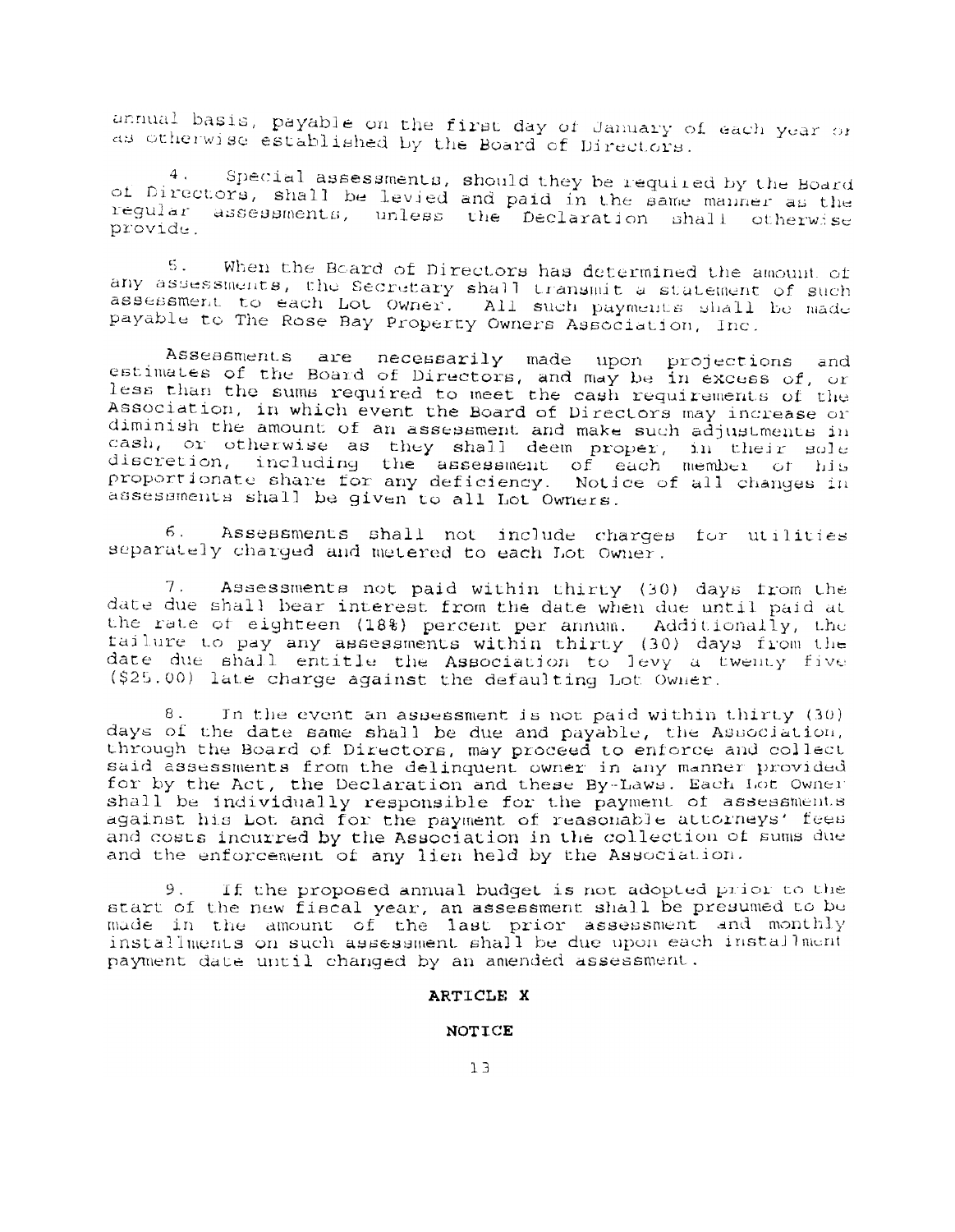annual basis, payable on the first day of January of each year or as otherwise established by the Board of Directors.

Special assessments, should they be required by the Board  $4.$ of Directors, shall be levied and paid in the same manner as the regular assessments, unless the Declaration shall otherwise provide.

When the Board of Directors has determined the amount of  $5.$ any assessments, the Secretary shall transmit a statement of such assessment to each Lot Owner. All such payments shall be made payable to The Rose Bay Property Owners Association, Inc.

Assessments are necessarily made upon projections and<br>estimates of the Board of Directors, and may be in excess of, or less than the sums required to meet the cash requirements of the Association, in which event the Board of Directors may increase or diminish the amount of an assessment and make such adjustments in cash, or otherwise as they shall deem proper, in their sole discretion, including the assessment of each member of his proportionate share for any deficiency. Notice of all changes in assessments shall be given to all Lot Owners.

б. Assessments shall not include charges for utilities separately charged and metered to each Lot Owner.

Assessments not paid within thirty (30) days from the date due shall bear interest from the date when due until paid at the rate of eighteen (18%) percent per annum. Additionally, the failure to pay any assessments within thirty (30) days from the date due shall entitle the Association to levy a twenty five (\$25.00) late charge against the defaulting Lot Owner.

8. In the event an assessment is not paid within thirty (30) days of the date same shall be due and payable, the Association. through the Board of Directors, may proceed to enforce and collect said assessments from the delinquent owner in any manner provided for by the Act, the Declaration and these By-Laws. Each Lot Owner shall be individually responsible for the payment of assessments against his Lot and for the payment of reasonable attorneys' fees and costs incurred by the Association in the collection of sums due and the enforcement of any lien held by the Association.

If the proposed annual budget is not adopted prior to the 9. start of the new fiscal year, an assessment shall be presumed to be made in the amount of the last prior assessment and monthly installments on such assessment shall be due upon each installment payment date until changed by an amended assessment.

#### ARTICLE X

#### NOTICE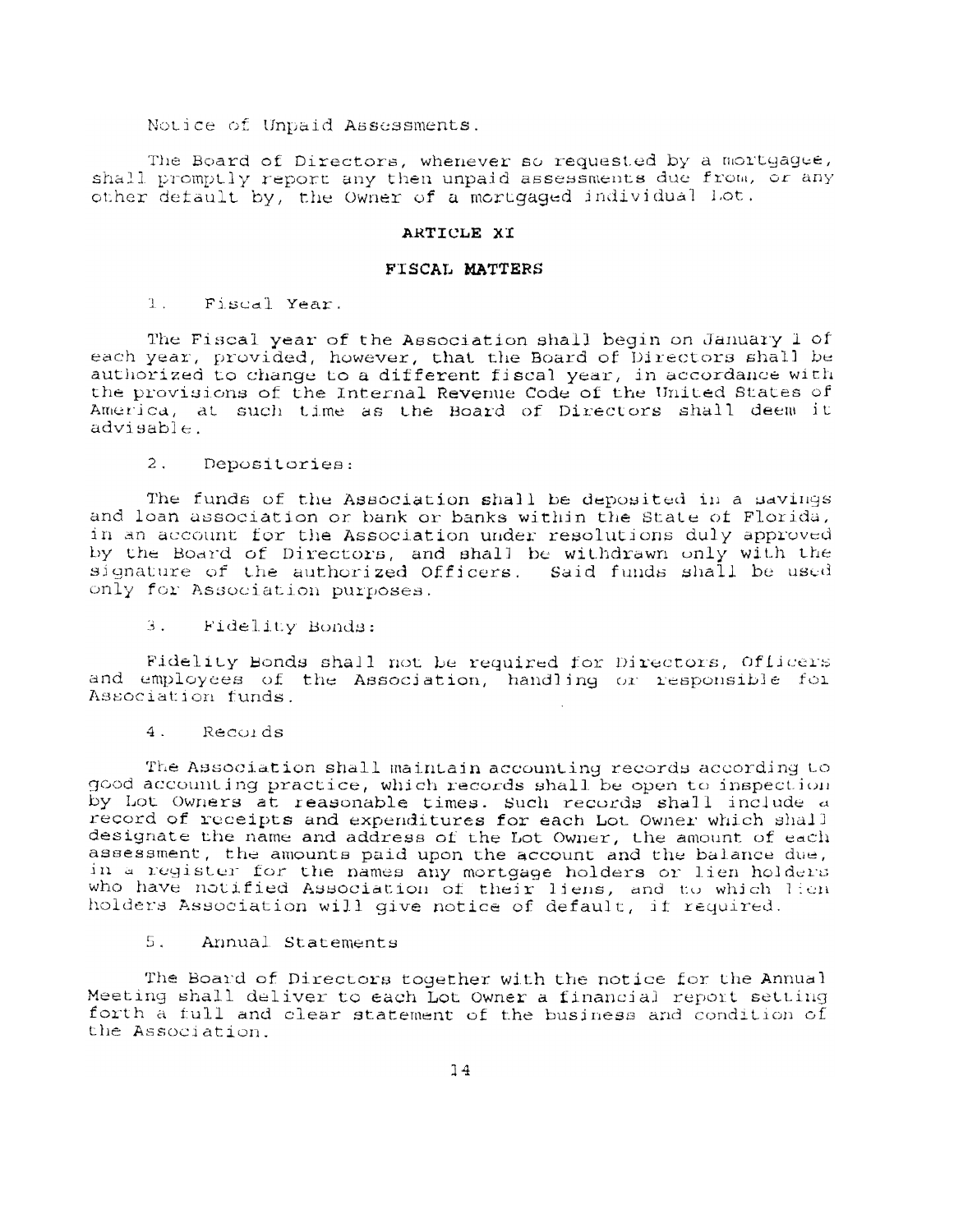#### Notice of Unpaid Assessments.

The Board of Directors, whenever so requested by a mortgaque, shall promptly report any then unpaid assessments due from, or any other default by, the Owner of a mortgaged individual Lot.

#### ARTICLE XT

#### FISCAL MATTERS

 $T_{\rm{max}}$ Fiscal Year.

The Fiscal year of the Association shall begin on January 1 of each year, provided, however, that the Board of Directors shall be authorized to change to a different fiscal year, in accordance with the provisions of the Internal Revenue Code of the United States of America, at such time as the Board of Directors shall deem it  $advisable.$ 

 $2.$ Depositories:

The funds of the Association shall be deposited in a savings and loan association or bank or banks within the State of Florida, in an account for the Association under resolutions duly approved by the Board of Directors, and shall be withdrawn only with the signature of the authorized Officers. Said funds shall be used only for Association purposes.

 $3.$ Fidelity Bonds:

Fidelity Bonds shall not be required for Directors, Officers and employees of the Association, handling or responsible for Association funds

 $4.$ Records

The Association shall maintain accounting records according to good accounting practice, which records shall be open to inspection by Lot Owners at reasonable times. Such records shall include a record of receipts and expenditures for each Lot Owner which shall designate the name and address of the Lot Owner, the amount of each assessment, the amounts paid upon the account and the balance due, in a register for the names any mortgage holders or lien holders who have notified Association of their liens, and to which lien holders Association will give notice of default, if required.

Annual Statements  $5.$ 

The Board of Directors together with the notice for the Annual Meeting shall deliver to each Lot Owner a financial report setting forth a full and clear statement of the business and condition of the Association.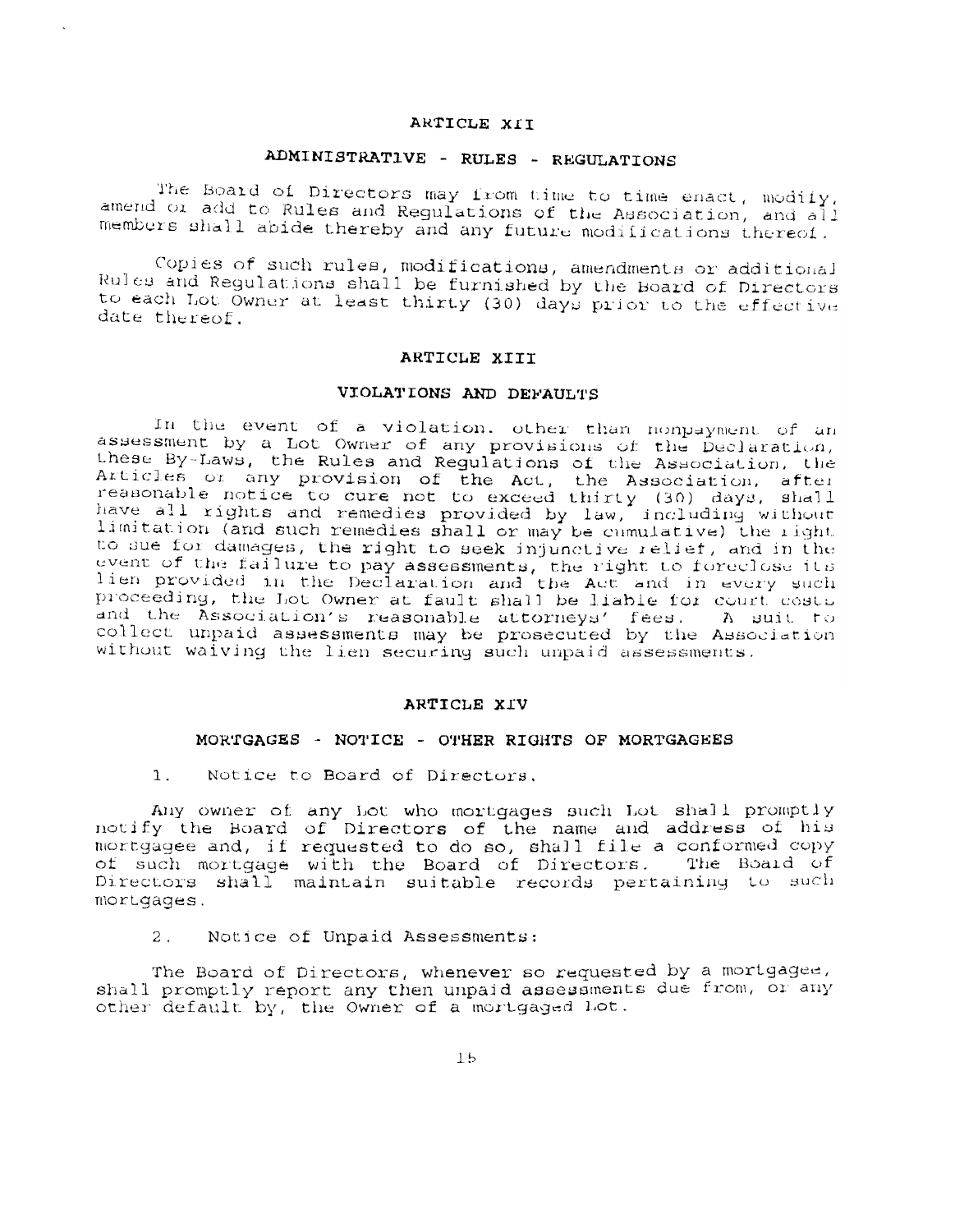## ARTICLE XII

# ADMINISTRATIVE - RULES - REGULATIONS

The Board of Directors may from time to time enact, modify, amend or add to Rules and Regulations of the Association, and all members shall abide thereby and any future modifications thereof.

Copies of such rules, modifications, amendments or additional Rules and Regulations shall be furnished by the Board of Directors to each Lot Owner at least thirty (30) days prior to the effective date thereof.

#### ARTICLE XIII

## VIOLATIONS AND DEFAULTS

In the event of a violation, other than nonpayment of an assessment by a Lot Owner of any provisions of the Declaration, these By-Laws, the Rules and Regulations of the Association, the Articles or any provision of the Act, the Association, the<br>Articles or any provision of the Act, the Association, after<br>reasonable notice to cure not to exceed thirty (30) days, shall<br>have all rights and remedies provided to sue for damages, the right to seek injunctive relief, and in the event of the failure to pay assessments, the right to foreclose its<br>lien provided in the Declaration and the Act and in every such<br>proceeding, the Lot Owner at fault shall be liable for court costs and the Association's reasonable attorneys' fees. A suit to collect unpaid assessments may be prosecuted by the Association without waiving the lien securing such unpaid assessments.

#### ARTICLE XIV

#### MORTGAGES - NOTICE - OTHER RIGHTS OF MORTGAGEES

Notice to Board of Directors,  $1.$ 

Any owner of any Lot who mortgages such Lot shall promptly notify the Board of Directors of the name and address of his<br>mortgagee and, if requested to do so, shall file a conformed copy<br>of such mortgage with the Board of Directors. The Board of Directors shall maintain suitable records pertaining to such mortgages.

Notice of Unpaid Assessments:  $2$ .

The Board of Directors, whenever so requested by a mortgagee, shall promptly report any then unpaid assessments due from, or any other default by, the Owner of a mortgaged Lot.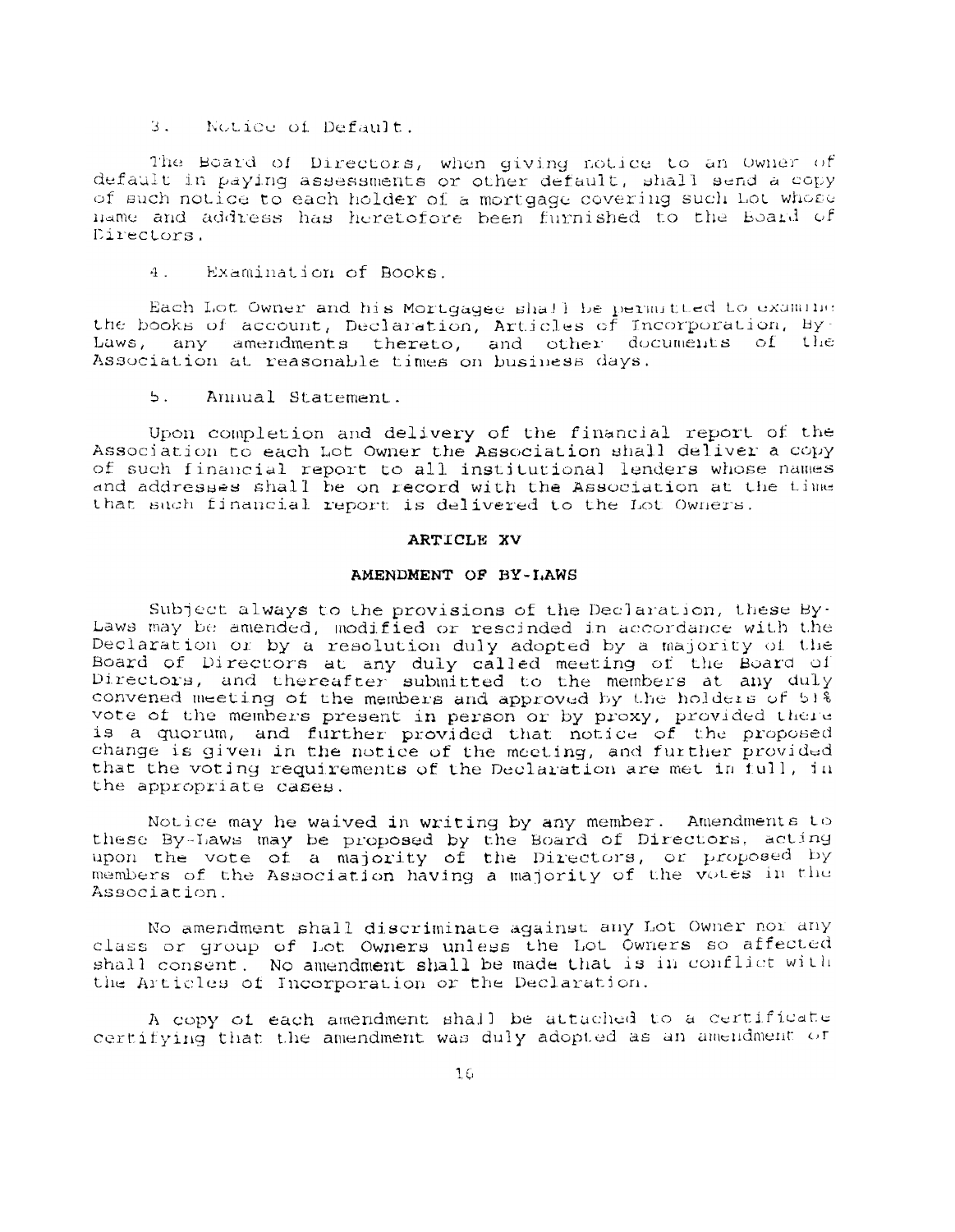3. Notice of Default.

The Board of Directors, when giving notice to an Owner of default in paying assessments or other default, shall send a copy of such notice to each holder of a mortgage covering such Lot whose name and address has heretofore been furnished to the Board of Directors.

Examination of Books.  $4<sup>1</sup>$ 

Each Lot Owner and his Mortgagee shall be permitted to examine the books of account, Declaration, Articles of Incorporation, By-Laws, any amendments thereto, and other documents of the Association at reasonable times on business days.

 $5.$ Annual Statement.

Upon completion and delivery of the financial report of the Association to each Lot Owner the Association shall deliver a copy of such financial report to all institutional lenders whose names and addresses shall be on record with the Association at the time that such financial report is delivered to the Lot Owners.

#### ARTICLE XV

### AMENDMENT OF BY-LAWS

Subject always to the provisions of the Declaration, these By-Laws may be amended, modified or rescinded in accordance with the Declaration or by a resolution duly adopted by a majority of the Board of Directors at any duly called meeting of the Board of Directors, and thereafter submitted to the members at any duly convened meeting of the members and approved by the holders of 51% vote of the members present in person or by proxy, provided there is a quorum, and further provided that notice of the proposed change is given in the notice of the meeting, and further provided that the voting requirements of the Declaration are met in full, in the appropriate cases.

Notice may he waived in writing by any member. Amendments to these By-Laws may be proposed by the Board of Directors, acting upon the vote of a majority of the Directors, or proposed by members of the Association having a majority of the votes in the Association.

No amendment shall discriminate against any Lot Owner nor any class or group of Lot Owners unless the Lot Owners so affected shall consent. No amendment shall be made that is in conflict with the Articles of Incorporation or the Declaration.

A copy of each amendment shall be attached to a certificate certifying that the amendment was duly adopted as an amendment of